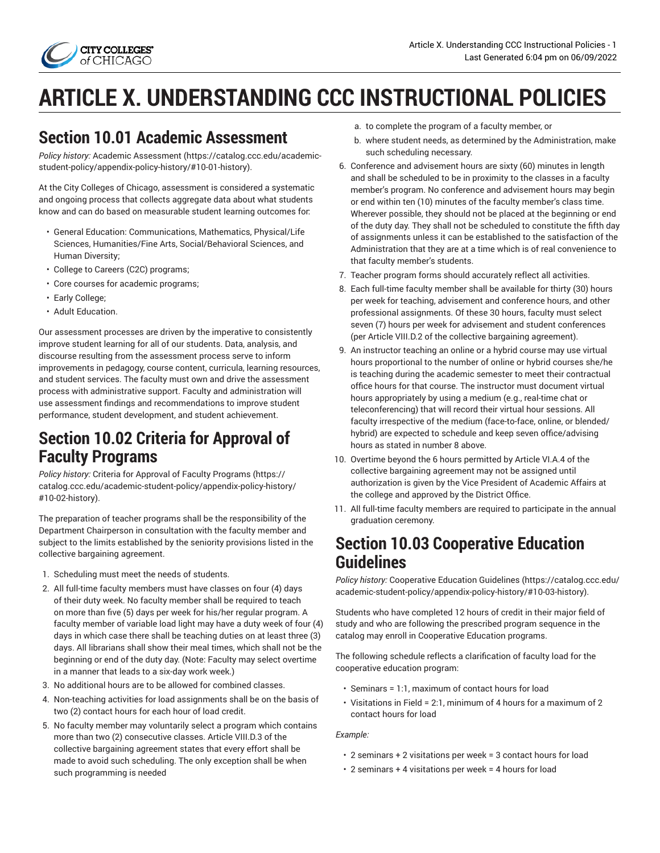

# **ARTICLE X. UNDERSTANDING CCC INSTRUCTIONAL POLICIES**

### **Section 10.01 Academic Assessment**

*Policy history:* [Academic Assessment \(https://catalog.ccc.edu/academic](https://catalog.ccc.edu/academic-student-policy/appendix-policy-history/#10-01-history)[student-policy/appendix-policy-history/#10-01-history](https://catalog.ccc.edu/academic-student-policy/appendix-policy-history/#10-01-history)).

At the City Colleges of Chicago, assessment is considered a systematic and ongoing process that collects aggregate data about what students know and can do based on measurable student learning outcomes for:

- General Education: Communications, Mathematics, Physical/Life Sciences, Humanities/Fine Arts, Social/Behavioral Sciences, and Human Diversity;
- College to Careers (C2C) programs;
- Core courses for academic programs;
- Early College;
- Adult Education.

Our assessment processes are driven by the imperative to consistently improve student learning for all of our students. Data, analysis, and discourse resulting from the assessment process serve to inform improvements in pedagogy, course content, curricula, learning resources, and student services. The faculty must own and drive the assessment process with administrative support. Faculty and administration will use assessment findings and recommendations to improve student performance, student development, and student achievement.

### **Section 10.02 Criteria for Approval of Faculty Programs**

*Policy history:* Criteria for Approval of Faculty [Programs \(https://](https://catalog.ccc.edu/academic-student-policy/appendix-policy-history/#10-02-history) [catalog.ccc.edu/academic-student-policy/appendix-policy-history/](https://catalog.ccc.edu/academic-student-policy/appendix-policy-history/#10-02-history) [#10-02-history](https://catalog.ccc.edu/academic-student-policy/appendix-policy-history/#10-02-history)).

The preparation of teacher programs shall be the responsibility of the Department Chairperson in consultation with the faculty member and subject to the limits established by the seniority provisions listed in the collective bargaining agreement.

- 1. Scheduling must meet the needs of students.
- 2. All full-time faculty members must have classes on four (4) days of their duty week. No faculty member shall be required to teach on more than five (5) days per week for his/her regular program. A faculty member of variable load light may have a duty week of four (4) days in which case there shall be teaching duties on at least three (3) days. All librarians shall show their meal times, which shall not be the beginning or end of the duty day. (Note: Faculty may select overtime in a manner that leads to a six-day work week.)
- 3. No additional hours are to be allowed for combined classes.
- 4. Non-teaching activities for load assignments shall be on the basis of two (2) contact hours for each hour of load credit.
- 5. No faculty member may voluntarily select a program which contains more than two (2) consecutive classes. Article VIII.D.3 of the collective bargaining agreement states that every effort shall be made to avoid such scheduling. The only exception shall be when such programming is needed
- a. to complete the program of a faculty member, or
- b. where student needs, as determined by the Administration, make such scheduling necessary.
- 6. Conference and advisement hours are sixty (60) minutes in length and shall be scheduled to be in proximity to the classes in a faculty member's program. No conference and advisement hours may begin or end within ten (10) minutes of the faculty member's class time. Wherever possible, they should not be placed at the beginning or end of the duty day. They shall not be scheduled to constitute the fifth day of assignments unless it can be established to the satisfaction of the Administration that they are at a time which is of real convenience to that faculty member's students.
- 7. Teacher program forms should accurately reflect all activities.
- 8. Each full-time faculty member shall be available for thirty (30) hours per week for teaching, advisement and conference hours, and other professional assignments. Of these 30 hours, faculty must select seven (7) hours per week for advisement and student conferences (per Article VIII.D.2 of the collective bargaining agreement).
- 9. An instructor teaching an online or a hybrid course may use virtual hours proportional to the number of online or hybrid courses she/he is teaching during the academic semester to meet their contractual office hours for that course. The instructor must document virtual hours appropriately by using a medium (e.g., real-time chat or teleconferencing) that will record their virtual hour sessions. All faculty irrespective of the medium (face-to-face, online, or blended/ hybrid) are expected to schedule and keep seven office/advising hours as stated in number 8 above.
- 10. Overtime beyond the 6 hours permitted by Article VI.A.4 of the collective bargaining agreement may not be assigned until authorization is given by the Vice President of Academic Affairs at the college and approved by the District Office.
- 11. All full-time faculty members are required to participate in the annual graduation ceremony.

### **Section 10.03 Cooperative Education Guidelines**

*Policy history:* [Cooperative](https://catalog.ccc.edu/academic-student-policy/appendix-policy-history/#10-03-history) Education Guidelines ([https://catalog.ccc.edu/](https://catalog.ccc.edu/academic-student-policy/appendix-policy-history/#10-03-history) [academic-student-policy/appendix-policy-history/#10-03-history\)](https://catalog.ccc.edu/academic-student-policy/appendix-policy-history/#10-03-history).

Students who have completed 12 hours of credit in their major field of study and who are following the prescribed program sequence in the catalog may enroll in Cooperative Education programs.

The following schedule reflects a clarification of faculty load for the cooperative education program:

- Seminars = 1:1, maximum of contact hours for load
- Visitations in Field = 2:1, minimum of 4 hours for a maximum of 2 contact hours for load

*Example:*

- 2 seminars + 2 visitations per week = 3 contact hours for load
- 2 seminars + 4 visitations per week = 4 hours for load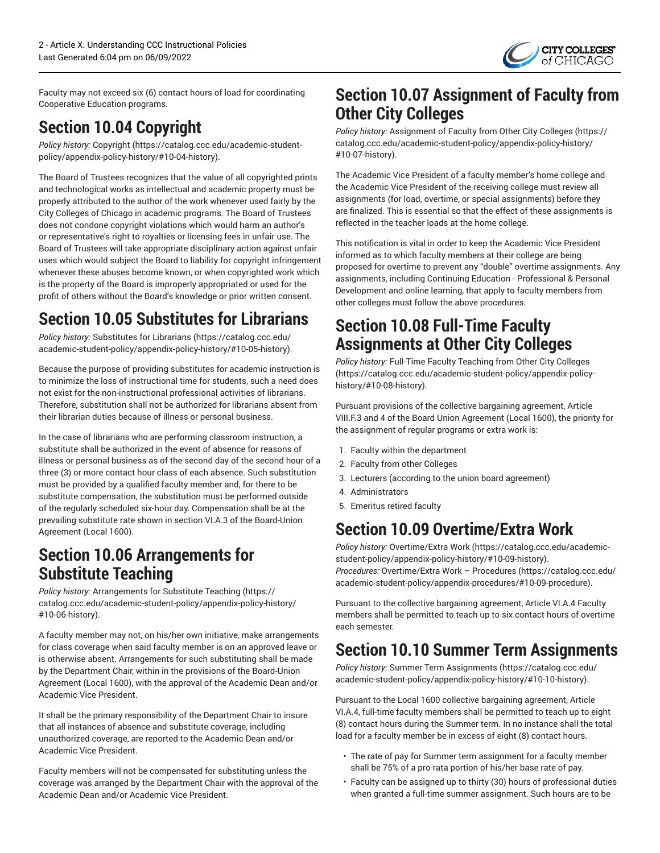

Faculty may not exceed six (6) contact hours of load for coordinating Cooperative Education programs.

# **Section 10.04 Copyright**

*Policy history:* [Copyright \(https://catalog.ccc.edu/academic-student](https://catalog.ccc.edu/academic-student-policy/appendix-policy-history/#10-04-history)[policy/appendix-policy-history/#10-04-history\)](https://catalog.ccc.edu/academic-student-policy/appendix-policy-history/#10-04-history).

The Board of Trustees recognizes that the value of all copyrighted prints and technological works as intellectual and academic property must be properly attributed to the author of the work whenever used fairly by the City Colleges of Chicago in academic programs. The Board of Trustees does not condone copyright violations which would harm an author's or representative's right to royalties or licensing fees in unfair use. The Board of Trustees will take appropriate disciplinary action against unfair uses which would subject the Board to liability for copyright infringement whenever these abuses become known, or when copyrighted work which is the property of the Board is improperly appropriated or used for the profit of others without the Board's knowledge or prior written consent.

# **Section 10.05 Substitutes for Librarians**

*Policy history:* [Substitutes for Librarians](https://catalog.ccc.edu/academic-student-policy/appendix-policy-history/#10-05-history) [\(https://catalog.ccc.edu/](https://catalog.ccc.edu/academic-student-policy/appendix-policy-history/#10-05-history) [academic-student-policy/appendix-policy-history/#10-05-history\)](https://catalog.ccc.edu/academic-student-policy/appendix-policy-history/#10-05-history).

Because the purpose of providing substitutes for academic instruction is to minimize the loss of instructional time for students, such a need does not exist for the non-instructional professional activities of librarians. Therefore, substitution shall not be authorized for librarians absent from their librarian duties because of illness or personal business.

In the case of librarians who are performing classroom instruction, a substitute shall be authorized in the event of absence for reasons of illness or personal business as of the second day of the second hour of a three (3) or more contact hour class of each absence. Such substitution must be provided by a qualified faculty member and, for there to be substitute compensation, the substitution must be performed outside of the regularly scheduled six-hour day. Compensation shall be at the prevailing substitute rate shown in section VI.A.3 of the Board-Union Agreement (Local 1600).

### **Section 10.06 Arrangements for Substitute Teaching**

*Policy history:* [Arrangements](https://catalog.ccc.edu/academic-student-policy/appendix-policy-history/#10-06-history) for Substitute Teaching ([https://](https://catalog.ccc.edu/academic-student-policy/appendix-policy-history/#10-06-history) [catalog.ccc.edu/academic-student-policy/appendix-policy-history/](https://catalog.ccc.edu/academic-student-policy/appendix-policy-history/#10-06-history) [#10-06-history](https://catalog.ccc.edu/academic-student-policy/appendix-policy-history/#10-06-history)).

A faculty member may not, on his/her own initiative, make arrangements for class coverage when said faculty member is on an approved leave or is otherwise absent. Arrangements for such substituting shall be made by the Department Chair, within in the provisions of the Board-Union Agreement (Local 1600), with the approval of the Academic Dean and/or Academic Vice President.

It shall be the primary responsibility of the Department Chair to insure that all instances of absence and substitute coverage, including unauthorized coverage, are reported to the Academic Dean and/or Academic Vice President.

Faculty members will not be compensated for substituting unless the coverage was arranged by the Department Chair with the approval of the Academic Dean and/or Academic Vice President.

## **Section 10.07 Assignment of Faculty from Other City Colleges**

*Policy history:* [Assignment](https://catalog.ccc.edu/academic-student-policy/appendix-policy-history/#10-07-history) of Faculty from Other City Colleges [\(https://](https://catalog.ccc.edu/academic-student-policy/appendix-policy-history/#10-07-history) [catalog.ccc.edu/academic-student-policy/appendix-policy-history/](https://catalog.ccc.edu/academic-student-policy/appendix-policy-history/#10-07-history) [#10-07-history\)](https://catalog.ccc.edu/academic-student-policy/appendix-policy-history/#10-07-history).

The Academic Vice President of a faculty member's home college and the Academic Vice President of the receiving college must review all assignments (for load, overtime, or special assignments) before they are finalized. This is essential so that the effect of these assignments is reflected in the teacher loads at the home college.

This notification is vital in order to keep the Academic Vice President informed as to which faculty members at their college are being proposed for overtime to prevent any "double" overtime assignments. Any assignments, including Continuing Education - Professional & Personal Development and online learning, that apply to faculty members from other colleges must follow the above procedures.

### **Section 10.08 Full-Time Faculty Assignments at Other City Colleges**

*Policy history:* [Full-Time](https://catalog.ccc.edu/academic-student-policy/appendix-policy-history/#10-08-history) Faculty Teaching from Other City Colleges [\(https://catalog.ccc.edu/academic-student-policy/appendix-policy](https://catalog.ccc.edu/academic-student-policy/appendix-policy-history/#10-08-history)[history/#10-08-history\)](https://catalog.ccc.edu/academic-student-policy/appendix-policy-history/#10-08-history).

Pursuant provisions of the collective bargaining agreement, Article VIII.F.3 and 4 of the Board Union Agreement (Local 1600), the priority for the assignment of regular programs or extra work is:

- 1. Faculty within the department
- 2. Faculty from other Colleges
- 3. Lecturers (according to the union board agreement)
- 4. Administrators
- 5. Emeritus retired faculty

# **Section 10.09 Overtime/Extra Work**

*Policy history:* [Overtime/Extra](https://catalog.ccc.edu/academic-student-policy/appendix-policy-history/#10-09-history) Work ([https://catalog.ccc.edu/academic](https://catalog.ccc.edu/academic-student-policy/appendix-policy-history/#10-09-history)[student-policy/appendix-policy-history/#10-09-history\)](https://catalog.ccc.edu/academic-student-policy/appendix-policy-history/#10-09-history).

*Procedures:* [Overtime/Extra](https://catalog.ccc.edu/academic-student-policy/appendix-procedures/#10-09-procedure) Work – Procedures ([https://catalog.ccc.edu/](https://catalog.ccc.edu/academic-student-policy/appendix-procedures/#10-09-procedure) [academic-student-policy/appendix-procedures/#10-09-procedure](https://catalog.ccc.edu/academic-student-policy/appendix-procedures/#10-09-procedure)).

Pursuant to the collective bargaining agreement, Article VI.A.4 Faculty members shall be permitted to teach up to six contact hours of overtime each semester.

# **Section 10.10 Summer Term Assignments**

*Policy history:* Summer Term [Assignments \(https://catalog.ccc.edu/](https://catalog.ccc.edu/academic-student-policy/appendix-policy-history/#10-10-history) [academic-student-policy/appendix-policy-history/#10-10-history\)](https://catalog.ccc.edu/academic-student-policy/appendix-policy-history/#10-10-history).

Pursuant to the Local 1600 collective bargaining agreement, Article VI.A.4, full-time faculty members shall be permitted to teach up to eight (8) contact hours during the Summer term. In no instance shall the total load for a faculty member be in excess of eight (8) contact hours.

- The rate of pay for Summer term assignment for a faculty member shall be 75% of a pro-rata portion of his/her base rate of pay.
- Faculty can be assigned up to thirty (30) hours of professional duties when granted a full-time summer assignment. Such hours are to be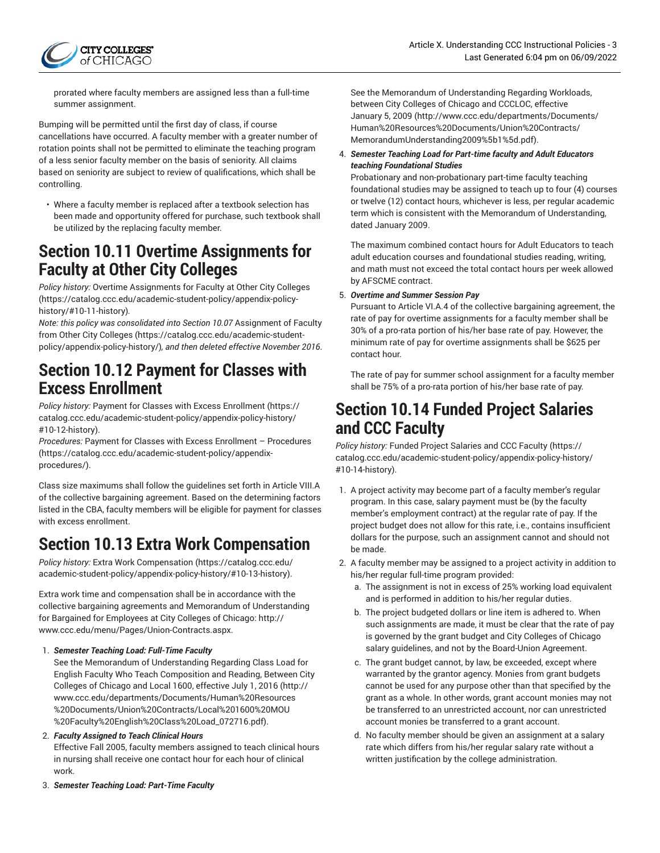

prorated where faculty members are assigned less than a full-time summer assignment.

Bumping will be permitted until the first day of class, if course cancellations have occurred. A faculty member with a greater number of rotation points shall not be permitted to eliminate the teaching program of a less senior faculty member on the basis of seniority. All claims based on seniority are subject to review of qualifications, which shall be controlling.

• Where a faculty member is replaced after a textbook selection has been made and opportunity offered for purchase, such textbook shall be utilized by the replacing faculty member.

### **Section 10.11 Overtime Assignments for Faculty at Other City Colleges**

*Policy history:* Overtime [Assignments](https://catalog.ccc.edu/academic-student-policy/appendix-policy-history/#10-11-history) for Faculty at Other City Colleges ([https://catalog.ccc.edu/academic-student-policy/appendix-policy](https://catalog.ccc.edu/academic-student-policy/appendix-policy-history/#10-11-history)[history/#10-11-history](https://catalog.ccc.edu/academic-student-policy/appendix-policy-history/#10-11-history))*.*

*Note: this policy was consolidated into Section 10.07* [Assignment](https://catalog.ccc.edu/academic-student-policy/appendix-policy-history/) of Faculty from Other City [Colleges](https://catalog.ccc.edu/academic-student-policy/appendix-policy-history/) ([https://catalog.ccc.edu/academic-student](https://catalog.ccc.edu/academic-student-policy/appendix-policy-history/)[policy/appendix-policy-history/](https://catalog.ccc.edu/academic-student-policy/appendix-policy-history/))*, and then deleted effective November 2016*.

### **Section 10.12 Payment for Classes with Excess Enrollment**

*Policy history:* Payment for Classes with Excess [Enrollment](https://catalog.ccc.edu/academic-student-policy/appendix-policy-history/#10-12-history) ([https://](https://catalog.ccc.edu/academic-student-policy/appendix-policy-history/#10-12-history) [catalog.ccc.edu/academic-student-policy/appendix-policy-history/](https://catalog.ccc.edu/academic-student-policy/appendix-policy-history/#10-12-history) [#10-12-history](https://catalog.ccc.edu/academic-student-policy/appendix-policy-history/#10-12-history)).

*Procedures:* Payment for Classes with Excess Enrollment – [Procedures](https://catalog.ccc.edu/academic-student-policy/appendix-procedures/) ([https://catalog.ccc.edu/academic-student-policy/appendix](https://catalog.ccc.edu/academic-student-policy/appendix-procedures/)[procedures/\)](https://catalog.ccc.edu/academic-student-policy/appendix-procedures/).

Class size maximums shall follow the guidelines set forth in Article VIII.A of the collective bargaining agreement. Based on the determining factors listed in the CBA, faculty members will be eligible for payment for classes with excess enrollment.

# **Section 10.13 Extra Work Compensation**

*Policy history:* Extra Work [Compensation](https://catalog.ccc.edu/academic-student-policy/appendix-policy-history/#10-13-history) ([https://catalog.ccc.edu/](https://catalog.ccc.edu/academic-student-policy/appendix-policy-history/#10-13-history) [academic-student-policy/appendix-policy-history/#10-13-history\)](https://catalog.ccc.edu/academic-student-policy/appendix-policy-history/#10-13-history).

Extra work time and compensation shall be in accordance with the collective bargaining agreements and Memorandum of Understanding for Bargained for Employees at City Colleges of Chicago: [http://](http://www.ccc.edu/menu/Pages/Union-Contracts.aspx) [www.ccc.edu/menu/Pages/Union-Contracts.aspx](http://www.ccc.edu/menu/Pages/Union-Contracts.aspx).

1. *Semester Teaching Load: Full-Time Faculty*

See the Memorandum of [Understanding](http://www.ccc.edu/departments/Documents/Human%20Resources%20Documents/Union%20Contracts/Local%201600%20MOU%20Faculty%20English%20Class%20Load_072716.pdf) Regarding Class Load for English Faculty Who Teach [Composition](http://www.ccc.edu/departments/Documents/Human%20Resources%20Documents/Union%20Contracts/Local%201600%20MOU%20Faculty%20English%20Class%20Load_072716.pdf) and Reading, Between City Colleges of Chicago and Local 1600, [effective](http://www.ccc.edu/departments/Documents/Human%20Resources%20Documents/Union%20Contracts/Local%201600%20MOU%20Faculty%20English%20Class%20Load_072716.pdf) July 1, 2016 ([http://](http://www.ccc.edu/departments/Documents/Human%20Resources%20Documents/Union%20Contracts/Local%201600%20MOU%20Faculty%20English%20Class%20Load_072716.pdf) [www.ccc.edu/departments/Documents/Human%20Resources](http://www.ccc.edu/departments/Documents/Human%20Resources%20Documents/Union%20Contracts/Local%201600%20MOU%20Faculty%20English%20Class%20Load_072716.pdf) [%20Documents/Union%20Contracts/Local%201600%20MOU](http://www.ccc.edu/departments/Documents/Human%20Resources%20Documents/Union%20Contracts/Local%201600%20MOU%20Faculty%20English%20Class%20Load_072716.pdf) [%20Faculty%20English%20Class%20Load\\_072716.pdf\)](http://www.ccc.edu/departments/Documents/Human%20Resources%20Documents/Union%20Contracts/Local%201600%20MOU%20Faculty%20English%20Class%20Load_072716.pdf).

#### 2. *Faculty Assigned to Teach Clinical Hours*

Effective Fall 2005, faculty members assigned to teach clinical hours in nursing shall receive one contact hour for each hour of clinical work.

See the Memorandum of [Understanding](http://www.ccc.edu/departments/Documents/Human%20Resources%20Documents/Union%20Contracts/MemorandumUnderstanding2009%5b1%5d.pdf) Regarding Workloads, between City Colleges of Chicago and [CCCLOC,](http://www.ccc.edu/departments/Documents/Human%20Resources%20Documents/Union%20Contracts/MemorandumUnderstanding2009%5b1%5d.pdf) effective [January](http://www.ccc.edu/departments/Documents/Human%20Resources%20Documents/Union%20Contracts/MemorandumUnderstanding2009%5b1%5d.pdf) 5, 2009 [\(http://www.ccc.edu/departments/Documents/](http://www.ccc.edu/departments/Documents/Human%20Resources%20Documents/Union%20Contracts/MemorandumUnderstanding2009%5b1%5d.pdf) [Human%20Resources%20Documents/Union%20Contracts/](http://www.ccc.edu/departments/Documents/Human%20Resources%20Documents/Union%20Contracts/MemorandumUnderstanding2009%5b1%5d.pdf) [MemorandumUnderstanding2009%5b1%5d.pdf](http://www.ccc.edu/departments/Documents/Human%20Resources%20Documents/Union%20Contracts/MemorandumUnderstanding2009%5b1%5d.pdf)).

4. *Semester Teaching Load for Part-time faculty and Adult Educators teaching Foundational Studies*

Probationary and non-probationary part-time faculty teaching foundational studies may be assigned to teach up to four (4) courses or twelve (12) contact hours, whichever is less, per regular academic term which is consistent with the Memorandum of Understanding, dated January 2009.

The maximum combined contact hours for Adult Educators to teach adult education courses and foundational studies reading, writing, and math must not exceed the total contact hours per week allowed by AFSCME contract.

#### 5. *Overtime and Summer Session Pay*

Pursuant to Article VI.A.4 of the collective bargaining agreement, the rate of pay for overtime assignments for a faculty member shall be 30% of a pro-rata portion of his/her base rate of pay. However, the minimum rate of pay for overtime assignments shall be \$625 per contact hour.

The rate of pay for summer school assignment for a faculty member shall be 75% of a pro-rata portion of his/her base rate of pay.

### **Section 10.14 Funded Project Salaries and CCC Faculty**

*Policy history:* Funded Project [Salaries](https://catalog.ccc.edu/academic-student-policy/appendix-policy-history/#10-14-history) and CCC Faculty ([https://](https://catalog.ccc.edu/academic-student-policy/appendix-policy-history/#10-14-history) [catalog.ccc.edu/academic-student-policy/appendix-policy-history/](https://catalog.ccc.edu/academic-student-policy/appendix-policy-history/#10-14-history) [#10-14-history\)](https://catalog.ccc.edu/academic-student-policy/appendix-policy-history/#10-14-history).

- 1. A project activity may become part of a faculty member's regular program. In this case, salary payment must be (by the faculty member's employment contract) at the regular rate of pay. If the project budget does not allow for this rate, i.e., contains insufficient dollars for the purpose, such an assignment cannot and should not be made.
- 2. A faculty member may be assigned to a project activity in addition to his/her regular full-time program provided:
	- a. The assignment is not in excess of 25% working load equivalent and is performed in addition to his/her regular duties.
	- b. The project budgeted dollars or line item is adhered to. When such assignments are made, it must be clear that the rate of pay is governed by the grant budget and City Colleges of Chicago salary guidelines, and not by the Board-Union Agreement.
	- c. The grant budget cannot, by law, be exceeded, except where warranted by the grantor agency. Monies from grant budgets cannot be used for any purpose other than that specified by the grant as a whole. In other words, grant account monies may not be transferred to an unrestricted account, nor can unrestricted account monies be transferred to a grant account.
	- d. No faculty member should be given an assignment at a salary rate which differs from his/her regular salary rate without a written justification by the college administration.

3. *Semester Teaching Load: Part-Time Faculty*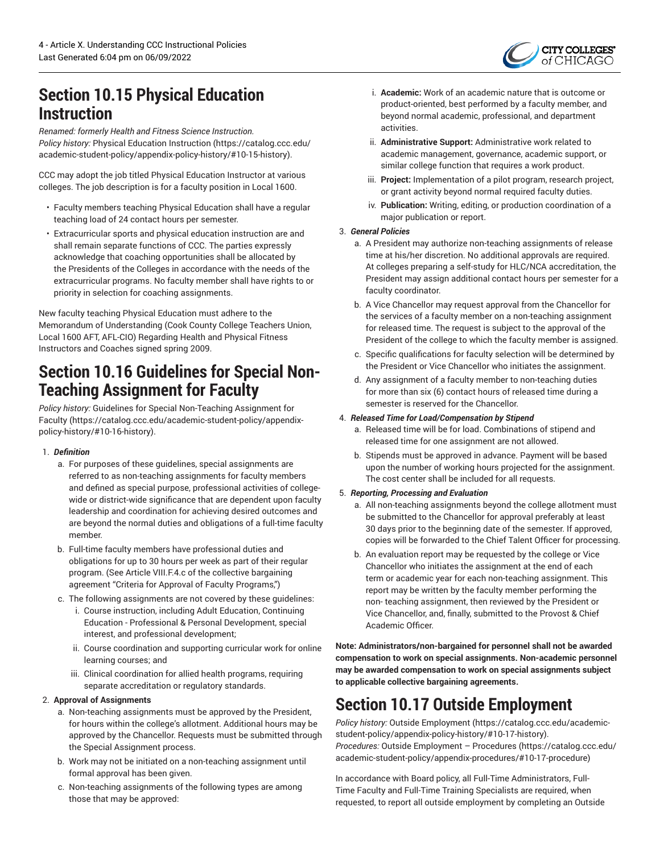

### **Section 10.15 Physical Education Instruction**

*Renamed: formerly Health and Fitness Science Instruction. Policy history:* Physical Education [Instruction \(https://catalog.ccc.edu/](https://catalog.ccc.edu/academic-student-policy/appendix-policy-history/#10-15-history) [academic-student-policy/appendix-policy-history/#10-15-history\)](https://catalog.ccc.edu/academic-student-policy/appendix-policy-history/#10-15-history).

CCC may adopt the job titled Physical Education Instructor at various colleges. The job description is for a faculty position in Local 1600.

- Faculty members teaching Physical Education shall have a regular teaching load of 24 contact hours per semester.
- Extracurricular sports and physical education instruction are and shall remain separate functions of CCC. The parties expressly acknowledge that coaching opportunities shall be allocated by the Presidents of the Colleges in accordance with the needs of the extracurricular programs. No faculty member shall have rights to or priority in selection for coaching assignments.

New faculty teaching Physical Education must adhere to the Memorandum of Understanding (Cook County College Teachers Union, Local 1600 AFT, AFL-CIO) Regarding Health and Physical Fitness Instructors and Coaches signed spring 2009.

### **Section 10.16 Guidelines for Special Non-Teaching Assignment for Faculty**

*Policy history:* Guidelines for Special [Non-Teaching](https://catalog.ccc.edu/academic-student-policy/appendix-policy-history/#10-16-history) Assignment for [Faculty](https://catalog.ccc.edu/academic-student-policy/appendix-policy-history/#10-16-history) [\(https://catalog.ccc.edu/academic-student-policy/appendix](https://catalog.ccc.edu/academic-student-policy/appendix-policy-history/#10-16-history)[policy-history/#10-16-history\)](https://catalog.ccc.edu/academic-student-policy/appendix-policy-history/#10-16-history).

#### 1. *Definition*

- a. For purposes of these guidelines, special assignments are referred to as non-teaching assignments for faculty members and defined as special purpose, professional activities of collegewide or district-wide significance that are dependent upon faculty leadership and coordination for achieving desired outcomes and are beyond the normal duties and obligations of a full-time faculty member.
- b. Full-time faculty members have professional duties and obligations for up to 30 hours per week as part of their regular program. (See Article VIII.F.4.c of the collective bargaining agreement "Criteria for Approval of Faculty Programs,")
- c. The following assignments are not covered by these guidelines:
	- i. Course instruction, including Adult Education, Continuing Education - Professional & Personal Development, special interest, and professional development;
	- ii. Course coordination and supporting curricular work for online learning courses; and
	- iii. Clinical coordination for allied health programs, requiring separate accreditation or regulatory standards.

#### 2. **Approval of Assignments**

- a. Non-teaching assignments must be approved by the President, for hours within the college's allotment. Additional hours may be approved by the Chancellor. Requests must be submitted through the Special Assignment process.
- b. Work may not be initiated on a non-teaching assignment until formal approval has been given.
- c. Non-teaching assignments of the following types are among those that may be approved:
- i. **Academic:** Work of an academic nature that is outcome or product-oriented, best performed by a faculty member, and beyond normal academic, professional, and department activities.
- ii. **Administrative Support:** Administrative work related to academic management, governance, academic support, or similar college function that requires a work product.
- iii. **Project:** Implementation of a pilot program, research project, or grant activity beyond normal required faculty duties.
- iv. **Publication:** Writing, editing, or production coordination of a major publication or report.

#### 3. *General Policies*

- a. A President may authorize non-teaching assignments of release time at his/her discretion. No additional approvals are required. At colleges preparing a self-study for HLC/NCA accreditation, the President may assign additional contact hours per semester for a faculty coordinator.
- b. A Vice Chancellor may request approval from the Chancellor for the services of a faculty member on a non-teaching assignment for released time. The request is subject to the approval of the President of the college to which the faculty member is assigned.
- c. Specific qualifications for faculty selection will be determined by the President or Vice Chancellor who initiates the assignment.
- d. Any assignment of a faculty member to non-teaching duties for more than six (6) contact hours of released time during a semester is reserved for the Chancellor.

#### 4. *Released Time for Load/Compensation by Stipend*

- a. Released time will be for load. Combinations of stipend and released time for one assignment are not allowed.
- b. Stipends must be approved in advance. Payment will be based upon the number of working hours projected for the assignment. The cost center shall be included for all requests.

#### 5. *Reporting, Processing and Evaluation*

- a. All non-teaching assignments beyond the college allotment must be submitted to the Chancellor for approval preferably at least 30 days prior to the beginning date of the semester. If approved, copies will be forwarded to the Chief Talent Officer for processing.
- b. An evaluation report may be requested by the college or Vice Chancellor who initiates the assignment at the end of each term or academic year for each non-teaching assignment. This report may be written by the faculty member performing the non- teaching assignment, then reviewed by the President or Vice Chancellor, and, finally, submitted to the Provost & Chief Academic Officer.

**Note: Administrators/non-bargained for personnel shall not be awarded compensation to work on special assignments. Non-academic personnel may be awarded compensation to work on special assignments subject to applicable collective bargaining agreements.**

# **Section 10.17 Outside Employment**

*Policy history:* Outside [Employment](https://catalog.ccc.edu/academic-student-policy/appendix-policy-history/#10-17-history) [\(https://catalog.ccc.edu/academic](https://catalog.ccc.edu/academic-student-policy/appendix-policy-history/#10-17-history)[student-policy/appendix-policy-history/#10-17-history\)](https://catalog.ccc.edu/academic-student-policy/appendix-policy-history/#10-17-history). *Procedures:* Outside [Employment](https://catalog.ccc.edu/academic-student-policy/appendix-procedures/#10-17-procedure) – Procedures [\(https://catalog.ccc.edu/](https://catalog.ccc.edu/academic-student-policy/appendix-procedures/#10-17-procedure) [academic-student-policy/appendix-procedures/#10-17-procedure](https://catalog.ccc.edu/academic-student-policy/appendix-procedures/#10-17-procedure))

In accordance with Board policy, all Full-Time Administrators, Full-Time Faculty and Full-Time Training Specialists are required, when requested, to report all outside employment by completing an Outside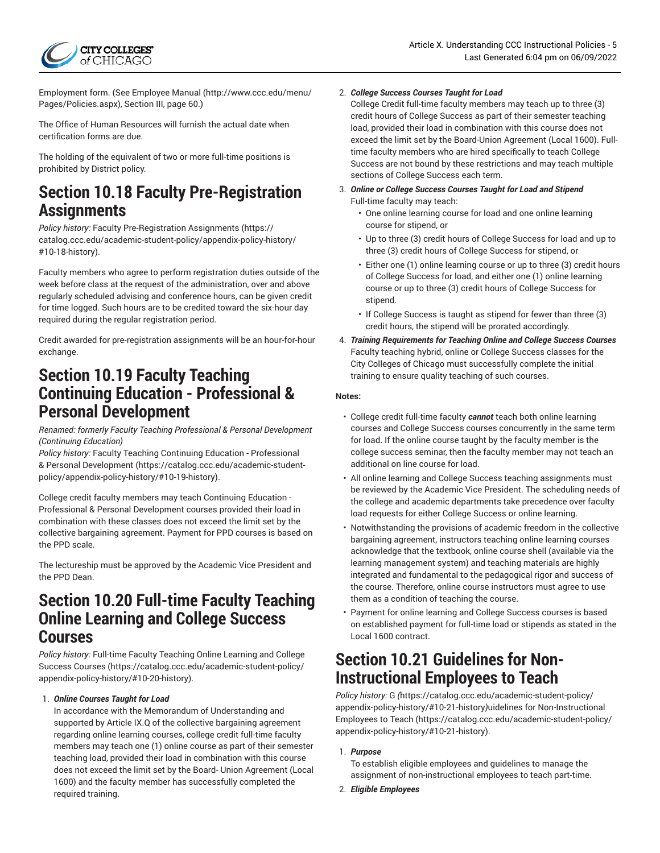Employment form. (See [Employee](http://www.ccc.edu/menu/Pages/Policies.aspx) Manual [\(http://www.ccc.edu/menu/](http://www.ccc.edu/menu/Pages/Policies.aspx) [Pages/Policies.aspx](http://www.ccc.edu/menu/Pages/Policies.aspx)), Section III, page 60.)

The Office of Human Resources will furnish the actual date when certification forms are due.

The holding of the equivalent of two or more full-time positions is prohibited by District policy.

### **Section 10.18 Faculty Pre-Registration Assignments**

*Policy history:* Faculty [Pre-Registration](https://catalog.ccc.edu/academic-student-policy/appendix-policy-history/#10-18-history) Assignments ([https://](https://catalog.ccc.edu/academic-student-policy/appendix-policy-history/#10-18-history) [catalog.ccc.edu/academic-student-policy/appendix-policy-history/](https://catalog.ccc.edu/academic-student-policy/appendix-policy-history/#10-18-history) [#10-18-history](https://catalog.ccc.edu/academic-student-policy/appendix-policy-history/#10-18-history)).

Faculty members who agree to perform registration duties outside of the week before class at the request of the administration, over and above regularly scheduled advising and conference hours, can be given credit for time logged. Such hours are to be credited toward the six-hour day required during the regular registration period.

Credit awarded for pre-registration assignments will be an hour-for-hour exchange.

### **Section 10.19 Faculty Teaching Continuing Education - Professional & Personal Development**

*Renamed: formerly Faculty Teaching Professional & Personal Development (Continuing Education)*

*Policy history:* Faculty Teaching Continuing Education - [Professional](https://catalog.ccc.edu/academic-student-policy/appendix-policy-history/#10-19-history) & Personal [Development](https://catalog.ccc.edu/academic-student-policy/appendix-policy-history/#10-19-history) ([https://catalog.ccc.edu/academic-student](https://catalog.ccc.edu/academic-student-policy/appendix-policy-history/#10-19-history)[policy/appendix-policy-history/#10-19-history\)](https://catalog.ccc.edu/academic-student-policy/appendix-policy-history/#10-19-history).

College credit faculty members may teach Continuing Education - Professional & Personal Development courses provided their load in combination with these classes does not exceed the limit set by the collective bargaining agreement. Payment for PPD courses is based on the PPD scale.

The lectureship must be approved by the Academic Vice President and the PPD Dean.

### **Section 10.20 Full-time Faculty Teaching Online Learning and College Success Courses**

*Policy history:* Full-time Faculty [Teaching](https://catalog.ccc.edu/academic-student-policy/appendix-policy-history/#10-20-history) Online Learning and College [Success Courses](https://catalog.ccc.edu/academic-student-policy/appendix-policy-history/#10-20-history) ([https://catalog.ccc.edu/academic-student-policy/](https://catalog.ccc.edu/academic-student-policy/appendix-policy-history/#10-20-history) [appendix-policy-history/#10-20-history\)](https://catalog.ccc.edu/academic-student-policy/appendix-policy-history/#10-20-history).

#### 1. *Online Courses Taught for Load*

In accordance with the Memorandum of Understanding and supported by Article IX.Q of the collective bargaining agreement regarding online learning courses, college credit full-time faculty members may teach one (1) online course as part of their semester teaching load, provided their load in combination with this course does not exceed the limit set by the Board- Union Agreement (Local 1600) and the faculty member has successfully completed the required training.

#### 2. *College Success Courses Taught for Load*

College Credit full-time faculty members may teach up to three (3) credit hours of College Success as part of their semester teaching load, provided their load in combination with this course does not exceed the limit set by the Board-Union Agreement (Local 1600). Fulltime faculty members who are hired specifically to teach College Success are not bound by these restrictions and may teach multiple sections of College Success each term.

- 3. *Online or College Success Courses Taught for Load and Stipend* Full-time faculty may teach:
	- One online learning course for load and one online learning course for stipend, or
	- Up to three (3) credit hours of College Success for load and up to three (3) credit hours of College Success for stipend, or
	- Either one (1) online learning course or up to three (3) credit hours of College Success for load, and either one (1) online learning course or up to three (3) credit hours of College Success for stipend.
	- If College Success is taught as stipend for fewer than three (3) credit hours, the stipend will be prorated accordingly.
- 4. *Training Requirements for Teaching Online and College Success Courses* Faculty teaching hybrid, online or College Success classes for the City Colleges of Chicago must successfully complete the initial training to ensure quality teaching of such courses.

#### **Notes:**

- College credit full-time faculty *cannot* teach both online learning courses and College Success courses concurrently in the same term for load. If the online course taught by the faculty member is the college success seminar, then the faculty member may not teach an additional on line course for load.
- All online learning and College Success teaching assignments must be reviewed by the Academic Vice President. The scheduling needs of the college and academic departments take precedence over faculty load requests for either College Success or online learning.
- Notwithstanding the provisions of academic freedom in the collective bargaining agreement, instructors teaching online learning courses acknowledge that the textbook, online course shell (available via the learning management system) and teaching materials are highly integrated and fundamental to the pedagogical rigor and success of the course. Therefore, online course instructors must agree to use them as a condition of teaching the course.
- Payment for online learning and College Success courses is based on established payment for full-time load or stipends as stated in the Local 1600 contract.

### **Section 10.21 Guidelines for Non-Instructional Employees to Teach**

*Policy history:* [G](https://catalog.ccc.edu/academic-student-policy/appendix-policy-history/#10-21-history) *(*[https://catalog.ccc.edu/academic-student-policy/](https://catalog.ccc.edu/academic-student-policy/appendix-policy-history/#10-21-history) [appendix-policy-history/#10-21-history](https://catalog.ccc.edu/academic-student-policy/appendix-policy-history/#10-21-history)*)*[uidelines for Non-Instructional](https://catalog.ccc.edu/academic-student-policy/appendix-policy-history/#10-21-history) [Employees](https://catalog.ccc.edu/academic-student-policy/appendix-policy-history/#10-21-history) to Teach [\(https://catalog.ccc.edu/academic-student-policy/](https://catalog.ccc.edu/academic-student-policy/appendix-policy-history/#10-21-history) [appendix-policy-history/#10-21-history](https://catalog.ccc.edu/academic-student-policy/appendix-policy-history/#10-21-history)).

#### 1. *Purpose*

To establish eligible employees and guidelines to manage the assignment of non-instructional employees to teach part-time.

2. *Eligible Employees*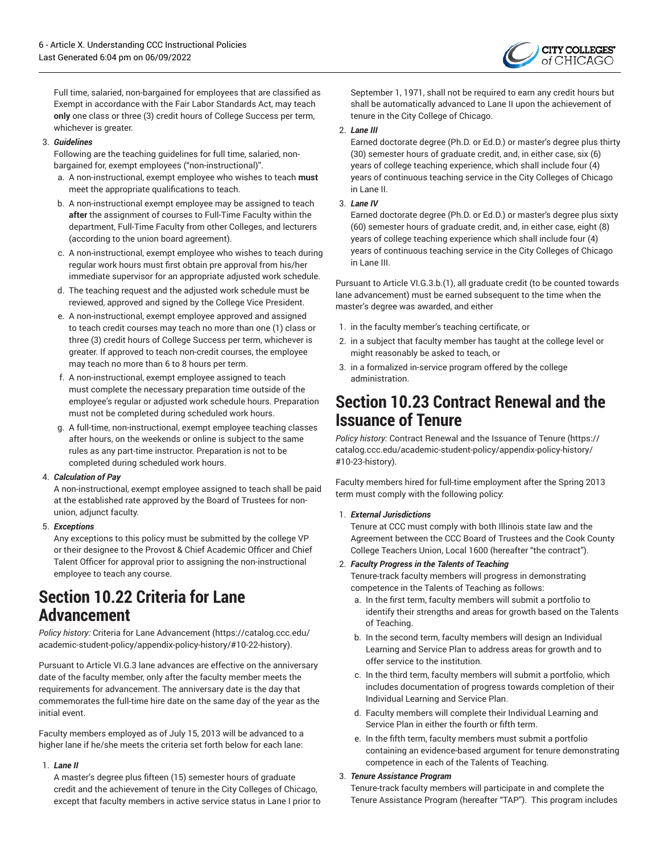

Full time, salaried, non-bargained for employees that are classified as Exempt in accordance with the Fair Labor Standards Act, may teach **only** one class or three (3) credit hours of College Success per term, whichever is greater.

#### 3. *Guidelines*

Following are the teaching guidelines for full time, salaried, nonbargained for, exempt employees ("non-instructional)".

- a. A non-instructional, exempt employee who wishes to teach **must** meet the appropriate qualifications to teach.
- b. A non-instructional exempt employee may be assigned to teach **after** the assignment of courses to Full-Time Faculty within the department, Full-Time Faculty from other Colleges, and lecturers (according to the union board agreement).
- c. A non-instructional, exempt employee who wishes to teach during regular work hours must first obtain pre approval from his/her immediate supervisor for an appropriate adjusted work schedule.
- d. The teaching request and the adjusted work schedule must be reviewed, approved and signed by the College Vice President.
- e. A non-instructional, exempt employee approved and assigned to teach credit courses may teach no more than one (1) class or three (3) credit hours of College Success per term, whichever is greater. If approved to teach non-credit courses, the employee may teach no more than 6 to 8 hours per term.
- f. A non-instructional, exempt employee assigned to teach must complete the necessary preparation time outside of the employee's regular or adjusted work schedule hours. Preparation must not be completed during scheduled work hours.
- g. A full-time, non-instructional, exempt employee teaching classes after hours, on the weekends or online is subject to the same rules as any part-time instructor. Preparation is not to be completed during scheduled work hours.

#### 4. *Calculation of Pay*

A non-instructional, exempt employee assigned to teach shall be paid at the established rate approved by the Board of Trustees for nonunion, adjunct faculty.

#### 5. *Exceptions*

Any exceptions to this policy must be submitted by the college VP or their designee to the Provost & Chief Academic Officer and Chief Talent Officer for approval prior to assigning the non-instructional employee to teach any course.

### **Section 10.22 Criteria for Lane Advancement**

*Policy history:* Criteria for Lane [Advancement](https://catalog.ccc.edu/academic-student-policy/appendix-policy-history/#10-22-history) ([https://catalog.ccc.edu/](https://catalog.ccc.edu/academic-student-policy/appendix-policy-history/#10-22-history) [academic-student-policy/appendix-policy-history/#10-22-history\)](https://catalog.ccc.edu/academic-student-policy/appendix-policy-history/#10-22-history).

Pursuant to Article VI.G.3 lane advances are effective on the anniversary date of the faculty member, only after the faculty member meets the requirements for advancement. The anniversary date is the day that commemorates the full-time hire date on the same day of the year as the initial event.

Faculty members employed as of July 15, 2013 will be advanced to a higher lane if he/she meets the criteria set forth below for each lane:

#### 1. *Lane II*

A master's degree plus fifteen (15) semester hours of graduate credit and the achievement of tenure in the City Colleges of Chicago, except that faculty members in active service status in Lane I prior to September 1, 1971, shall not be required to earn any credit hours but shall be automatically advanced to Lane II upon the achievement of tenure in the City College of Chicago.

#### 2. *Lane III*

Earned doctorate degree (Ph.D. or Ed.D.) or master's degree plus thirty (30) semester hours of graduate credit, and, in either case, six (6) years of college teaching experience, which shall include four (4) years of continuous teaching service in the City Colleges of Chicago in Lane II.

#### 3. *Lane IV*

Earned doctorate degree (Ph.D. or Ed.D.) or master's degree plus sixty (60) semester hours of graduate credit, and, in either case, eight (8) years of college teaching experience which shall include four (4) years of continuous teaching service in the City Colleges of Chicago in Lane III.

Pursuant to Article VI.G.3.b.(1), all graduate credit (to be counted towards lane advancement) must be earned subsequent to the time when the master's degree was awarded, and either

- 1. in the faculty member's teaching certificate, or
- 2. in a subject that faculty member has taught at the college level or might reasonably be asked to teach, or
- 3. in a formalized in-service program offered by the college administration.

### **Section 10.23 Contract Renewal and the Issuance of Tenure**

*Policy history:* Contract Renewal and the [Issuance](https://catalog.ccc.edu/academic-student-policy/appendix-policy-history/#10-23-history) of Tenure [\(https://](https://catalog.ccc.edu/academic-student-policy/appendix-policy-history/#10-23-history) [catalog.ccc.edu/academic-student-policy/appendix-policy-history/](https://catalog.ccc.edu/academic-student-policy/appendix-policy-history/#10-23-history) [#10-23-history\)](https://catalog.ccc.edu/academic-student-policy/appendix-policy-history/#10-23-history).

Faculty members hired for full-time employment after the Spring 2013 term must comply with the following policy:

#### 1. *External Jurisdictions*

Tenure at CCC must comply with both Illinois state law and the Agreement between the CCC Board of Trustees and the Cook County College Teachers Union, Local 1600 (hereafter "the contract").

#### 2. *Faculty Progress in the Talents of Teaching*

Tenure-track faculty members will progress in demonstrating competence in the Talents of Teaching as follows:

- a. In the first term, faculty members will submit a portfolio to identify their strengths and areas for growth based on the Talents of Teaching.
- b. In the second term, faculty members will design an Individual Learning and Service Plan to address areas for growth and to offer service to the institution.
- c. In the third term, faculty members will submit a portfolio, which includes documentation of progress towards completion of their Individual Learning and Service Plan.
- d. Faculty members will complete their Individual Learning and Service Plan in either the fourth or fifth term.
- e. In the fifth term, faculty members must submit a portfolio containing an evidence-based argument for tenure demonstrating competence in each of the Talents of Teaching.

#### 3. *Tenure Assistance Program*

Tenure-track faculty members will participate in and complete the Tenure Assistance Program (hereafter "TAP"). This program includes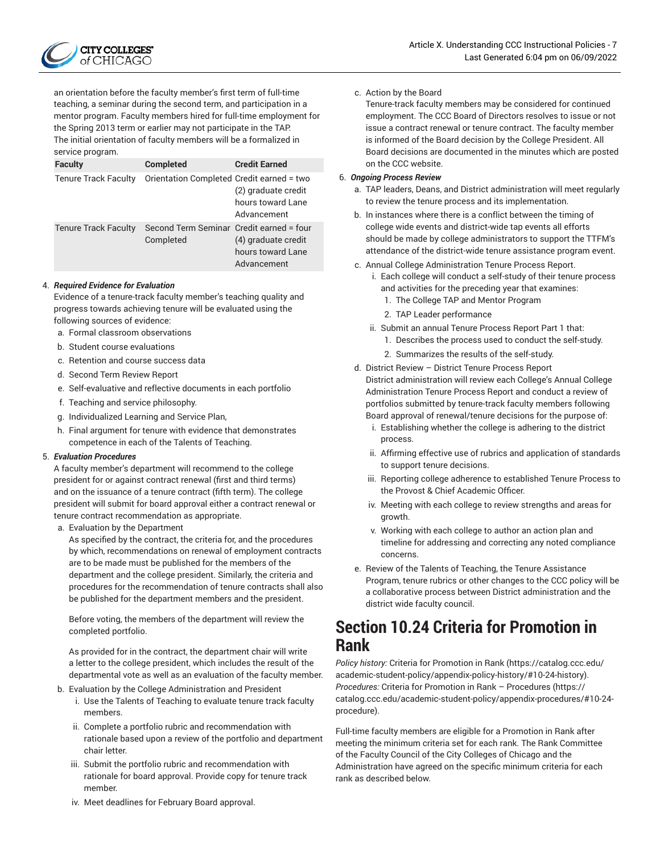

an orientation before the faculty member's first term of full-time teaching, a seminar during the second term, and participation in a mentor program. Faculty members hired for full-time employment for the Spring 2013 term or earlier may not participate in the TAP. The initial orientation of faculty members will be a formalized in service program.

| <b>Faculty</b>              | <b>Completed</b>                                      | <b>Credit Earned</b>                                    |
|-----------------------------|-------------------------------------------------------|---------------------------------------------------------|
| <b>Tenure Track Faculty</b> | Orientation Completed Credit earned = two             | (2) graduate credit<br>hours toward Lane<br>Advancement |
| <b>Tenure Track Faculty</b> | Second Term Seminar Credit earned = four<br>Completed | (4) graduate credit<br>hours toward Lane<br>Advancement |

#### 4. *Required Evidence for Evaluation*

Evidence of a tenure-track faculty member's teaching quality and progress towards achieving tenure will be evaluated using the following sources of evidence:

- a. Formal classroom observations
- b. Student course evaluations
- c. Retention and course success data
- d. Second Term Review Report
- e. Self-evaluative and reflective documents in each portfolio
- f. Teaching and service philosophy.
- g. Individualized Learning and Service Plan,
- h. Final argument for tenure with evidence that demonstrates competence in each of the Talents of Teaching.

#### 5. *Evaluation Procedures*

A faculty member's department will recommend to the college president for or against contract renewal (first and third terms) and on the issuance of a tenure contract (fifth term). The college president will submit for board approval either a contract renewal or tenure contract recommendation as appropriate.

a. Evaluation by the Department

As specified by the contract, the criteria for, and the procedures by which, recommendations on renewal of employment contracts are to be made must be published for the members of the department and the college president. Similarly, the criteria and procedures for the recommendation of tenure contracts shall also be published for the department members and the president.

Before voting, the members of the department will review the completed portfolio.

As provided for in the contract, the department chair will write a letter to the college president, which includes the result of the departmental vote as well as an evaluation of the faculty member.

- b. Evaluation by the College Administration and President
	- i. Use the Talents of Teaching to evaluate tenure track faculty members.
	- ii. Complete a portfolio rubric and recommendation with rationale based upon a review of the portfolio and department chair letter.
	- iii. Submit the portfolio rubric and recommendation with rationale for board approval. Provide copy for tenure track member.

c. Action by the Board

Tenure-track faculty members may be considered for continued employment. The CCC Board of Directors resolves to issue or not issue a contract renewal or tenure contract. The faculty member is informed of the Board decision by the College President. All Board decisions are documented in the minutes which are posted on the CCC website.

#### 6. *Ongoing Process Review*

- a. TAP leaders, Deans, and District administration will meet regularly to review the tenure process and its implementation.
- b. In instances where there is a conflict between the timing of college wide events and district-wide tap events all efforts should be made by college administrators to support the TTFM's attendance of the district-wide tenure assistance program event.
- c. Annual College Administration Tenure Process Report.
	- i. Each college will conduct a self-study of their tenure process and activities for the preceding year that examines:
		- 1. The College TAP and Mentor Program
		- 2. TAP Leader performance
	- ii. Submit an annual Tenure Process Report Part 1 that:
		- 1. Describes the process used to conduct the self-study.
		- 2. Summarizes the results of the self-study.
- d. District Review District Tenure Process Report District administration will review each College's Annual College Administration Tenure Process Report and conduct a review of portfolios submitted by tenure-track faculty members following Board approval of renewal/tenure decisions for the purpose of:
	- i. Establishing whether the college is adhering to the district process.
	- ii. Affirming effective use of rubrics and application of standards to support tenure decisions.
	- iii. Reporting college adherence to established Tenure Process to the Provost & Chief Academic Officer.
	- iv. Meeting with each college to review strengths and areas for growth.
	- v. Working with each college to author an action plan and timeline for addressing and correcting any noted compliance concerns.
- e. Review of the Talents of Teaching, the Tenure Assistance Program, tenure rubrics or other changes to the CCC policy will be a collaborative process between District administration and the district wide faculty council.

### **Section 10.24 Criteria for Promotion in Rank**

*Policy history:* Criteria for [Promotion](https://catalog.ccc.edu/academic-student-policy/appendix-policy-history/#10-24-history) in Rank ([https://catalog.ccc.edu/](https://catalog.ccc.edu/academic-student-policy/appendix-policy-history/#10-24-history) [academic-student-policy/appendix-policy-history/#10-24-history\)](https://catalog.ccc.edu/academic-student-policy/appendix-policy-history/#10-24-history). *Procedures:* Criteria for Promotion in Rank – [Procedures](https://catalog.ccc.edu/academic-student-policy/appendix-procedures/#10-24-procedure) ([https://](https://catalog.ccc.edu/academic-student-policy/appendix-procedures/#10-24-procedure) [catalog.ccc.edu/academic-student-policy/appendix-procedures/#10-24](https://catalog.ccc.edu/academic-student-policy/appendix-procedures/#10-24-procedure) [procedure\)](https://catalog.ccc.edu/academic-student-policy/appendix-procedures/#10-24-procedure).

Full-time faculty members are eligible for a Promotion in Rank after meeting the minimum criteria set for each rank. The Rank Committee of the Faculty Council of the City Colleges of Chicago and the Administration have agreed on the specific minimum criteria for each rank as described below.

iv. Meet deadlines for February Board approval.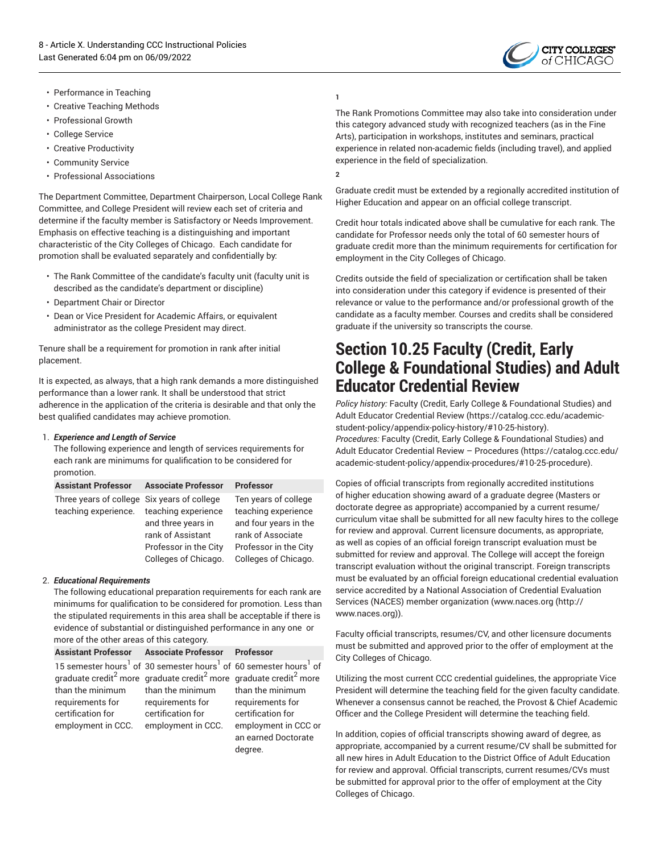

- Performance in Teaching
- Creative Teaching Methods
- Professional Growth
- College Service
- Creative Productivity
- Community Service
- Professional Associations

The Department Committee, Department Chairperson, Local College Rank Committee, and College President will review each set of criteria and determine if the faculty member is Satisfactory or Needs Improvement. Emphasis on effective teaching is a distinguishing and important characteristic of the City Colleges of Chicago. Each candidate for promotion shall be evaluated separately and confidentially by:

- The Rank Committee of the candidate's faculty unit (faculty unit is described as the candidate's department or discipline)
- Department Chair or Director
- Dean or Vice President for Academic Affairs, or equivalent administrator as the college President may direct.

Tenure shall be a requirement for promotion in rank after initial placement.

It is expected, as always, that a high rank demands a more distinguished performance than a lower rank. It shall be understood that strict adherence in the application of the criteria is desirable and that only the best qualified candidates may achieve promotion.

#### 1. *Experience and Length of Service*

The following experience and length of services requirements for each rank are minimums for qualification to be considered for promotion.

| <b>Assistant Professor</b>                                          | <b>Associate Professor</b>                                                                                      | <b>Professor</b>                                                                                                                           |
|---------------------------------------------------------------------|-----------------------------------------------------------------------------------------------------------------|--------------------------------------------------------------------------------------------------------------------------------------------|
| Three years of college Six years of college<br>teaching experience. | teaching experience<br>and three years in<br>rank of Assistant<br>Professor in the City<br>Colleges of Chicago. | Ten years of college<br>teaching experience<br>and four years in the<br>rank of Associate<br>Professor in the City<br>Colleges of Chicago. |

#### 2. *Educational Requirements*

The following educational preparation requirements for each rank are minimums for qualification to be considered for promotion. Less than the stipulated requirements in this area shall be acceptable if there is evidence of substantial or distinguished performance in any one or more of the other areas of this category.

|                                         | Assistant Professor Associate Professor Professor                                                                                                                                                                                                      |                                                                             |
|-----------------------------------------|--------------------------------------------------------------------------------------------------------------------------------------------------------------------------------------------------------------------------------------------------------|-----------------------------------------------------------------------------|
| than the minimum<br>requirements for    | 15 semester hours <sup>1</sup> of 30 semester hours <sup>1</sup> of 60 semester hours <sup>1</sup> of<br>graduate credit <sup>2</sup> more graduate credit <sup>2</sup> more graduate credit <sup>2</sup> more<br>than the minimum<br>requirements for | than the minimum<br>requirements for                                        |
| certification for<br>employment in CCC. | certification for<br>employment in CCC.                                                                                                                                                                                                                | certification for<br>employment in CCC or<br>an earned Doctorate<br>degree. |

#### **1**

The Rank Promotions Committee may also take into consideration under this category advanced study with recognized teachers (as in the Fine Arts), participation in workshops, institutes and seminars, practical experience in related non-academic fields (including travel), and applied experience in the field of specialization.

**2**

Graduate credit must be extended by a regionally accredited institution of Higher Education and appear on an official college transcript.

Credit hour totals indicated above shall be cumulative for each rank. The candidate for Professor needs only the total of 60 semester hours of graduate credit more than the minimum requirements for certification for employment in the City Colleges of Chicago.

Credits outside the field of specialization or certification shall be taken into consideration under this category if evidence is presented of their relevance or value to the performance and/or professional growth of the candidate as a faculty member. Courses and credits shall be considered graduate if the university so transcripts the course.

### **Section 10.25 Faculty (Credit, Early College & Foundational Studies) and Adult Educator Credential Review**

*Policy history:* Faculty (Credit, Early College & [Foundational](https://catalog.ccc.edu/academic-student-policy/appendix-policy-history/#10-25-history) Studies) and Adult Educator [Credential](https://catalog.ccc.edu/academic-student-policy/appendix-policy-history/#10-25-history) Review ([https://catalog.ccc.edu/academic](https://catalog.ccc.edu/academic-student-policy/appendix-policy-history/#10-25-history)[student-policy/appendix-policy-history/#10-25-history\)](https://catalog.ccc.edu/academic-student-policy/appendix-policy-history/#10-25-history). *Procedures:* Faculty (Credit, Early College & [Foundational](https://catalog.ccc.edu/academic-student-policy/appendix-procedures/#10-25-procedure) Studies) and Adult Educator Credential Review – [Procedures](https://catalog.ccc.edu/academic-student-policy/appendix-procedures/#10-25-procedure) [\(https://catalog.ccc.edu/](https://catalog.ccc.edu/academic-student-policy/appendix-procedures/#10-25-procedure) [academic-student-policy/appendix-procedures/#10-25-procedure](https://catalog.ccc.edu/academic-student-policy/appendix-procedures/#10-25-procedure)).

Copies of official transcripts from regionally accredited institutions of higher education showing award of a graduate degree (Masters or doctorate degree as appropriate) accompanied by a current resume/ curriculum vitae shall be submitted for all new faculty hires to the college for review and approval. Current licensure documents, as appropriate, as well as copies of an official foreign transcript evaluation must be submitted for review and approval. The College will accept the foreign transcript evaluation without the original transcript. Foreign transcripts must be evaluated by an official foreign educational credential evaluation service accredited by a National Association of Credential Evaluation Services (NACES) member organization [\(www.naces.org \(http://](http://www.naces.org) [www.naces.org\)](http://www.naces.org)).

Faculty official transcripts, resumes/CV, and other licensure documents must be submitted and approved prior to the offer of employment at the City Colleges of Chicago.

Utilizing the most current CCC credential guidelines, the appropriate Vice President will determine the teaching field for the given faculty candidate. Whenever a consensus cannot be reached, the Provost & Chief Academic Officer and the College President will determine the teaching field.

In addition, copies of official transcripts showing award of degree, as appropriate, accompanied by a current resume/CV shall be submitted for all new hires in Adult Education to the District Office of Adult Education for review and approval. Official transcripts, current resumes/CVs must be submitted for approval prior to the offer of employment at the City Colleges of Chicago.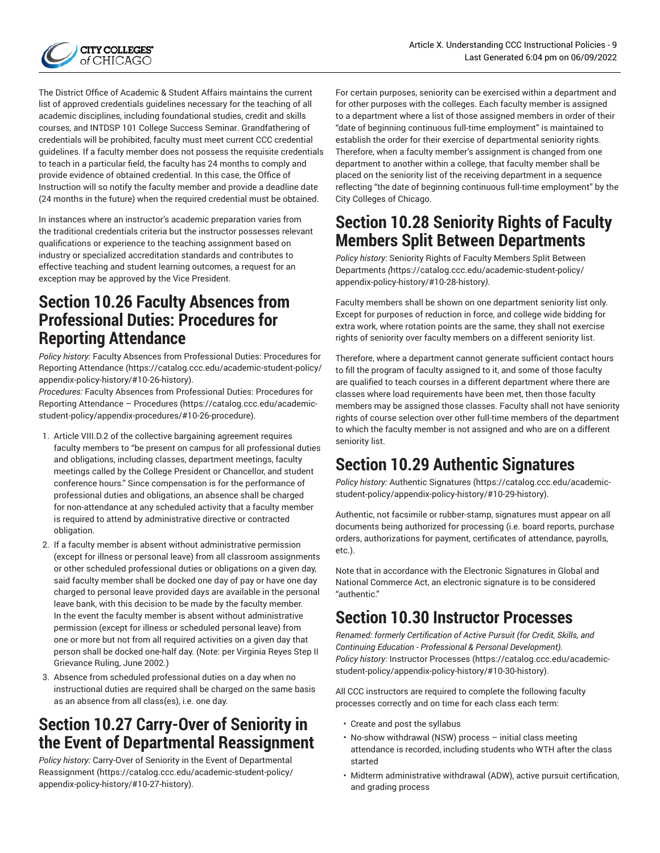

The District Office of Academic & Student Affairs maintains the current list of approved credentials guidelines necessary for the teaching of all academic disciplines, including foundational studies, credit and skills courses, and INTDSP 101 College Success Seminar. Grandfathering of credentials will be prohibited, faculty must meet current CCC credential guidelines. If a faculty member does not possess the requisite credentials to teach in a particular field, the faculty has 24 months to comply and provide evidence of obtained credential. In this case, the Office of Instruction will so notify the faculty member and provide a deadline date (24 months in the future) when the required credential must be obtained.

In instances where an instructor's academic preparation varies from the traditional credentials criteria but the instructor possesses relevant qualifications or experience to the teaching assignment based on industry or specialized accreditation standards and contributes to effective teaching and student learning outcomes, a request for an exception may be approved by the Vice President.

### **Section 10.26 Faculty Absences from Professional Duties: Procedures for Reporting Attendance**

*Policy history:* Faculty Absences from [Professional](https://catalog.ccc.edu/academic-student-policy/appendix-policy-history/#10-26-history) Duties: Procedures for Reporting [Attendance \(https://catalog.ccc.edu/academic-student-policy/](https://catalog.ccc.edu/academic-student-policy/appendix-policy-history/#10-26-history) [appendix-policy-history/#10-26-history\)](https://catalog.ccc.edu/academic-student-policy/appendix-policy-history/#10-26-history).

*Procedures:* Faculty Absences from [Professional](https://catalog.ccc.edu/academic-student-policy/appendix-procedures/#10-26-procedure) Duties: Procedures for Reporting [Attendance](https://catalog.ccc.edu/academic-student-policy/appendix-procedures/#10-26-procedure) – Procedures ([https://catalog.ccc.edu/academic](https://catalog.ccc.edu/academic-student-policy/appendix-procedures/#10-26-procedure)[student-policy/appendix-procedures/#10-26-procedure\)](https://catalog.ccc.edu/academic-student-policy/appendix-procedures/#10-26-procedure).

- 1. Article VIII.D.2 of the collective bargaining agreement requires faculty members to "be present on campus for all professional duties and obligations, including classes, department meetings, faculty meetings called by the College President or Chancellor, and student conference hours." Since compensation is for the performance of professional duties and obligations, an absence shall be charged for non-attendance at any scheduled activity that a faculty member is required to attend by administrative directive or contracted obligation.
- 2. If a faculty member is absent without administrative permission (except for illness or personal leave) from all classroom assignments or other scheduled professional duties or obligations on a given day, said faculty member shall be docked one day of pay or have one day charged to personal leave provided days are available in the personal leave bank, with this decision to be made by the faculty member. In the event the faculty member is absent without administrative permission (except for illness or scheduled personal leave) from one or more but not from all required activities on a given day that person shall be docked one-half day. (Note: per Virginia Reyes Step II Grievance Ruling, June 2002.)
- 3. Absence from scheduled professional duties on a day when no instructional duties are required shall be charged on the same basis as an absence from all class(es), i.e. one day.

### **Section 10.27 Carry-Over of Seniority in the Event of Departmental Reassignment**

*Policy history:* Carry-Over of Seniority in the Event of [Departmental](https://catalog.ccc.edu/academic-student-policy/appendix-policy-history/#10-27-history) [Reassignment](https://catalog.ccc.edu/academic-student-policy/appendix-policy-history/#10-27-history) ([https://catalog.ccc.edu/academic-student-policy/](https://catalog.ccc.edu/academic-student-policy/appendix-policy-history/#10-27-history) [appendix-policy-history/#10-27-history\)](https://catalog.ccc.edu/academic-student-policy/appendix-policy-history/#10-27-history).

For certain purposes, seniority can be exercised within a department and for other purposes with the colleges. Each faculty member is assigned to a department where a list of those assigned members in order of their "date of beginning continuous full-time employment" is maintained to establish the order for their exercise of departmental seniority rights. Therefore, when a faculty member's assignment is changed from one department to another within a college, that faculty member shall be placed on the seniority list of the receiving department in a sequence reflecting "the date of beginning continuous full-time employment" by the City Colleges of Chicago.

### **Section 10.28 Seniority Rights of Faculty Members Split Between Departments**

*Policy history:* Seniority Rights of Faculty [Members](https://catalog.ccc.edu/academic-student-policy/appendix-policy-history/#10-28-history) Split Between [Departments](https://catalog.ccc.edu/academic-student-policy/appendix-policy-history/#10-28-history) *(*[https://catalog.ccc.edu/academic-student-policy/](https://catalog.ccc.edu/academic-student-policy/appendix-policy-history/#10-28-history) [appendix-policy-history/#10-28-history](https://catalog.ccc.edu/academic-student-policy/appendix-policy-history/#10-28-history)*).*

Faculty members shall be shown on one department seniority list only. Except for purposes of reduction in force, and college wide bidding for extra work, where rotation points are the same, they shall not exercise rights of seniority over faculty members on a different seniority list.

Therefore, where a department cannot generate sufficient contact hours to fill the program of faculty assigned to it, and some of those faculty are qualified to teach courses in a different department where there are classes where load requirements have been met, then those faculty members may be assigned those classes. Faculty shall not have seniority rights of course selection over other full-time members of the department to which the faculty member is not assigned and who are on a different seniority list.

# **Section 10.29 Authentic Signatures**

*Policy history:* Authentic [Signatures](https://catalog.ccc.edu/academic-student-policy/appendix-policy-history/#10-29-history) ([https://catalog.ccc.edu/academic](https://catalog.ccc.edu/academic-student-policy/appendix-policy-history/#10-29-history)[student-policy/appendix-policy-history/#10-29-history\)](https://catalog.ccc.edu/academic-student-policy/appendix-policy-history/#10-29-history).

Authentic, not facsimile or rubber-stamp, signatures must appear on all documents being authorized for processing (i.e. board reports, purchase orders, authorizations for payment, certificates of attendance, payrolls, etc.).

Note that in accordance with the Electronic Signatures in Global and National Commerce Act, an electronic signature is to be considered "authentic."

# **Section 10.30 Instructor Processes**

*Renamed: formerly Certification of Active Pursuit (for Credit, Skills, and Continuing Education - Professional & Personal Development). Policy history:* Instructor [Processes](https://catalog.ccc.edu/academic-student-policy/appendix-policy-history/#10-30-history) ([https://catalog.ccc.edu/academic](https://catalog.ccc.edu/academic-student-policy/appendix-policy-history/#10-30-history)[student-policy/appendix-policy-history/#10-30-history\)](https://catalog.ccc.edu/academic-student-policy/appendix-policy-history/#10-30-history).

All CCC instructors are required to complete the following faculty processes correctly and on time for each class each term:

- Create and post the syllabus
- No-show withdrawal (NSW) process initial class meeting attendance is recorded, including students who WTH after the class started
- Midterm administrative withdrawal (ADW), active pursuit certification, and grading process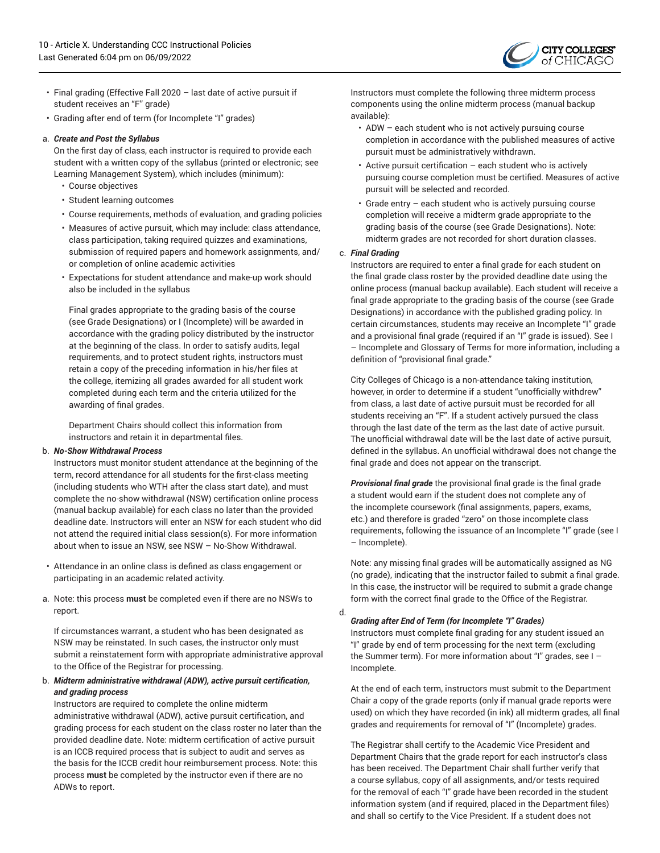

- Final grading (Effective Fall 2020 last date of active pursuit if student receives an "F" grade)
- Grading after end of term (for Incomplete "I" grades)

#### a. *Create and Post the Syllabus*

On the first day of class, each instructor is required to provide each student with a written copy of the syllabus (printed or electronic; see Learning Management System), which includes (minimum):

- Course objectives
- Student learning outcomes
- Course requirements, methods of evaluation, and grading policies
- Measures of active pursuit, which may include: class attendance, class participation, taking required quizzes and examinations, submission of required papers and homework assignments, and/ or completion of online academic activities
- Expectations for student attendance and make-up work should also be included in the syllabus

Final grades appropriate to the grading basis of the course (see Grade Designations) or I (Incomplete) will be awarded in accordance with the grading policy distributed by the instructor at the beginning of the class. In order to satisfy audits, legal requirements, and to protect student rights, instructors must retain a copy of the preceding information in his/her files at the college, itemizing all grades awarded for all student work completed during each term and the criteria utilized for the awarding of final grades.

Department Chairs should collect this information from instructors and retain it in departmental files.

#### b. *No-Show Withdrawal Process*

Instructors must monitor student attendance at the beginning of the term, record attendance for all students for the first-class meeting (including students who WTH after the class start date), and must complete the no-show withdrawal (NSW) certification online process (manual backup available) for each class no later than the provided deadline date. Instructors will enter an NSW for each student who did not attend the required initial class session(s). For more information about when to issue an NSW, see NSW – No-Show Withdrawal.

- Attendance in an online class is defined as class engagement or participating in an academic related activity.
- a. Note: this process **must** be completed even if there are no NSWs to report.

If circumstances warrant, a student who has been designated as NSW may be reinstated. In such cases, the instructor only must submit a reinstatement form with appropriate administrative approval to the Office of the Registrar for processing.

#### b. *Midterm administrative withdrawal (ADW), active pursuit certification, and grading process*

Instructors are required to complete the online midterm administrative withdrawal (ADW), active pursuit certification, and grading process for each student on the class roster no later than the provided deadline date. Note: midterm certification of active pursuit is an ICCB required process that is subject to audit and serves as the basis for the ICCB credit hour reimbursement process. Note: this process **must** be completed by the instructor even if there are no ADWs to report.

Instructors must complete the following three midterm process components using the online midterm process (manual backup available):

- ADW each student who is not actively pursuing course completion in accordance with the published measures of active pursuit must be administratively withdrawn.
- Active pursuit certification each student who is actively pursuing course completion must be certified. Measures of active pursuit will be selected and recorded.
- Grade entry each student who is actively pursuing course completion will receive a midterm grade appropriate to the grading basis of the course (see Grade Designations). Note: midterm grades are not recorded for short duration classes.

#### c. *Final Grading*

Instructors are required to enter a final grade for each student on the final grade class roster by the provided deadline date using the online process (manual backup available). Each student will receive a final grade appropriate to the grading basis of the course (see Grade Designations) in accordance with the published grading policy. In certain circumstances, students may receive an Incomplete "I" grade and a provisional final grade (required if an "I" grade is issued). See I – Incomplete and Glossary of Terms for more information, including a definition of "provisional final grade."

City Colleges of Chicago is a non-attendance taking institution, however, in order to determine if a student "unofficially withdrew" from class, a last date of active pursuit must be recorded for all students receiving an "F". If a student actively pursued the class through the last date of the term as the last date of active pursuit. The unofficial withdrawal date will be the last date of active pursuit, defined in the syllabus. An unofficial withdrawal does not change the final grade and does not appear on the transcript.

*Provisional final grade* the provisional final grade is the final grade a student would earn if the student does not complete any of the incomplete coursework (final assignments, papers, exams, etc.) and therefore is graded "zero" on those incomplete class requirements, following the issuance of an Incomplete "I" grade (see I – Incomplete).

Note: any missing final grades will be automatically assigned as NG (no grade), indicating that the instructor failed to submit a final grade. In this case, the instructor will be required to submit a grade change form with the correct final grade to the Office of the Registrar.

#### d. *Grading after End of Term (for Incomplete "I" Grades)*

Instructors must complete final grading for any student issued an "I" grade by end of term processing for the next term (excluding the Summer term). For more information about "I" grades, see I – Incomplete.

At the end of each term, instructors must submit to the Department Chair a copy of the grade reports (only if manual grade reports were used) on which they have recorded (in ink) all midterm grades, all final grades and requirements for removal of "I" (Incomplete) grades.

The Registrar shall certify to the Academic Vice President and Department Chairs that the grade report for each instructor's class has been received. The Department Chair shall further verify that a course syllabus, copy of all assignments, and/or tests required for the removal of each "I" grade have been recorded in the student information system (and if required, placed in the Department files) and shall so certify to the Vice President. If a student does not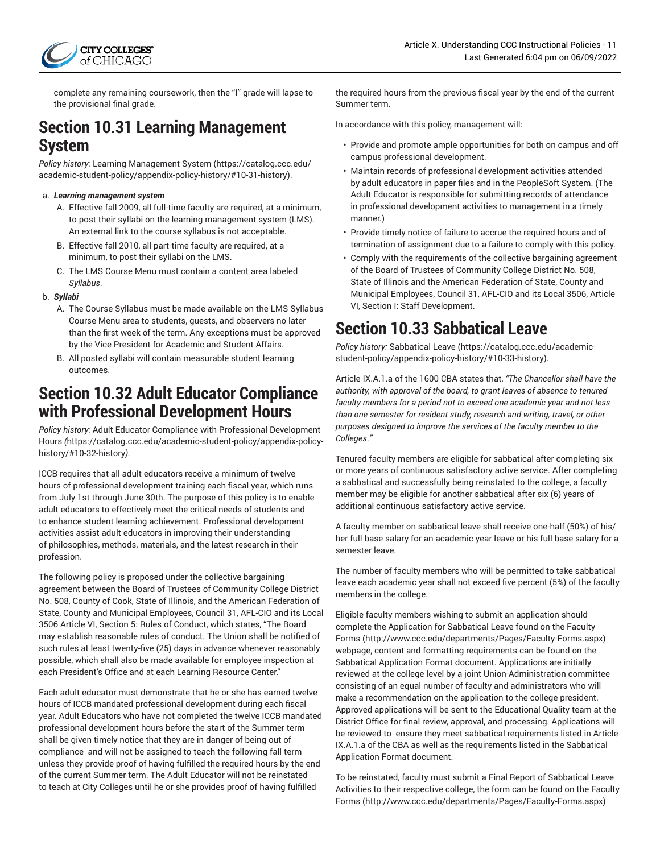

complete any remaining coursework, then the "I" grade will lapse to the provisional final grade.

### **Section 10.31 Learning Management System**

*Policy history:* [Learning Management System](https://catalog.ccc.edu/academic-student-policy/appendix-policy-history/#10-31-history) ([https://catalog.ccc.edu/](https://catalog.ccc.edu/academic-student-policy/appendix-policy-history/#10-31-history) [academic-student-policy/appendix-policy-history/#10-31-history\)](https://catalog.ccc.edu/academic-student-policy/appendix-policy-history/#10-31-history).

#### a. *Learning management system*

- A. Effective fall 2009, all full-time faculty are required, at a minimum, to post their syllabi on the learning management system (LMS). An external link to the course syllabus is not acceptable.
- B. Effective fall 2010, all part-time faculty are required, at a minimum, to post their syllabi on the LMS.
- C. The LMS Course Menu must contain a content area labeled *Syllabus*.

#### b. *Syllabi*

- A. The Course Syllabus must be made available on the LMS Syllabus Course Menu area to students, guests, and observers no later than the first week of the term. Any exceptions must be approved by the Vice President for Academic and Student Affairs.
- B. All posted syllabi will contain measurable student learning outcomes.

### **Section 10.32 Adult Educator Compliance with Professional Development Hours**

*Policy history:* Adult Educator Compliance with Professional [Development](https://catalog.ccc.edu/academic-student-policy/appendix-policy-history/#10-32-history) [Hours](https://catalog.ccc.edu/academic-student-policy/appendix-policy-history/#10-32-history) *(*[https://catalog.ccc.edu/academic-student-policy/appendix-policy](https://catalog.ccc.edu/academic-student-policy/appendix-policy-history/#10-32-history)[history/#10-32-history](https://catalog.ccc.edu/academic-student-policy/appendix-policy-history/#10-32-history)*).*

ICCB requires that all adult educators receive a minimum of twelve hours of professional development training each fiscal year, which runs from July 1st through June 30th. The purpose of this policy is to enable adult educators to effectively meet the critical needs of students and to enhance student learning achievement. Professional development activities assist adult educators in improving their understanding of philosophies, methods, materials, and the latest research in their profession.

The following policy is proposed under the collective bargaining agreement between the Board of Trustees of Community College District No. 508, County of Cook, State of Illinois, and the American Federation of State, County and Municipal Employees, Council 31, AFL-CIO and its Local 3506 Article VI, Section 5: Rules of Conduct, which states, "The Board may establish reasonable rules of conduct. The Union shall be notified of such rules at least twenty-five (25) days in advance whenever reasonably possible, which shall also be made available for employee inspection at each President's Office and at each Learning Resource Center."

Each adult educator must demonstrate that he or she has earned twelve hours of ICCB mandated professional development during each fiscal year. Adult Educators who have not completed the twelve ICCB mandated professional development hours before the start of the Summer term shall be given timely notice that they are in danger of being out of compliance and will not be assigned to teach the following fall term unless they provide proof of having fulfilled the required hours by the end of the current Summer term. The Adult Educator will not be reinstated to teach at City Colleges until he or she provides proof of having fulfilled

the required hours from the previous fiscal year by the end of the current Summer term.

In accordance with this policy, management will:

- Provide and promote ample opportunities for both on campus and off campus professional development.
- Maintain records of professional development activities attended by adult educators in paper files and in the PeopleSoft System. (The Adult Educator is responsible for submitting records of attendance in professional development activities to management in a timely manner.)
- Provide timely notice of failure to accrue the required hours and of termination of assignment due to a failure to comply with this policy.
- Comply with the requirements of the collective bargaining agreement of the Board of Trustees of Community College District No. 508, State of Illinois and the American Federation of State, County and Municipal Employees, Council 31, AFL-CIO and its Local 3506, Article VI, Section I: Staff Development.

## **Section 10.33 Sabbatical Leave**

*Policy history:* [Sabbatical](https://catalog.ccc.edu/academic-student-policy/appendix-policy-history/#10-33-history) Leave [\(https://catalog.ccc.edu/academic](https://catalog.ccc.edu/academic-student-policy/appendix-policy-history/#10-33-history)[student-policy/appendix-policy-history/#10-33-history\)](https://catalog.ccc.edu/academic-student-policy/appendix-policy-history/#10-33-history).

Article IX.A.1.a of the 1600 CBA states that, *"The Chancellor shall have the authority, with approval of the board, to grant leaves of absence to tenured faculty members for a period not to exceed one academic year and not less than one semester for resident study, research and writing, travel, or other purposes designed to improve the services of the faculty member to the Colleges*.*"*

Tenured faculty members are eligible for sabbatical after completing six or more years of continuous satisfactory active service. After completing a sabbatical and successfully being reinstated to the college, a faculty member may be eligible for another sabbatical after six (6) years of additional continuous satisfactory active service.

A faculty member on sabbatical leave shall receive one-half (50%) of his/ her full base salary for an academic year leave or his full base salary for a semester leave.

The number of faculty members who will be permitted to take sabbatical leave each academic year shall not exceed five percent (5%) of the faculty members in the college.

Eligible faculty members wishing to submit an application should complete the Application for Sabbatical Leave found on the [Faculty](http://www.ccc.edu/departments/Pages/Faculty-Forms.aspx) [Forms](http://www.ccc.edu/departments/Pages/Faculty-Forms.aspx) [\(http://www.ccc.edu/departments/Pages/Faculty-Forms.aspx\)](http://www.ccc.edu/departments/Pages/Faculty-Forms.aspx) webpage, content and formatting requirements can be found on the Sabbatical Application Format document. Applications are initially reviewed at the college level by a joint Union-Administration committee consisting of an equal number of faculty and administrators who will make a recommendation on the application to the college president. Approved applications will be sent to the Educational Quality team at the District Office for final review, approval, and processing. Applications will be reviewed to ensure they meet sabbatical requirements listed in Article IX.A.1.a of the CBA as well as the requirements listed in the Sabbatical Application Format document.

To be reinstated, faculty must submit a Final Report of Sabbatical Leave Activities to their respective college, the form can be found on the [Faculty](http://www.ccc.edu/departments/Pages/Faculty-Forms.aspx) [Forms](http://www.ccc.edu/departments/Pages/Faculty-Forms.aspx) [\(http://www.ccc.edu/departments/Pages/Faculty-Forms.aspx\)](http://www.ccc.edu/departments/Pages/Faculty-Forms.aspx)